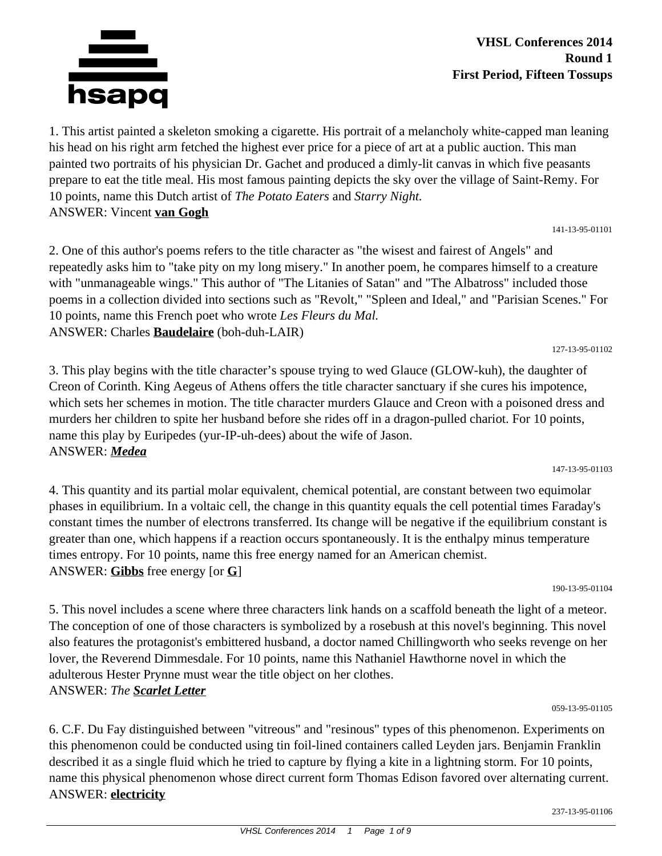

**VHSL Conferences 2014 Round 1 First Period, Fifteen Tossups**

1. This artist painted a skeleton smoking a cigarette. His portrait of a melancholy white-capped man leaning his head on his right arm fetched the highest ever price for a piece of art at a public auction. This man painted two portraits of his physician Dr. Gachet and produced a dimly-lit canvas in which five peasants prepare to eat the title meal. His most famous painting depicts the sky over the village of Saint-Remy. For 10 points, name this Dutch artist of *The Potato Eaters* and *Starry Night.* ANSWER: Vincent **van Gogh**

141-13-95-01101

2. One of this author's poems refers to the title character as "the wisest and fairest of Angels" and repeatedly asks him to "take pity on my long misery." In another poem, he compares himself to a creature with "unmanageable wings." This author of "The Litanies of Satan" and "The Albatross" included those poems in a collection divided into sections such as "Revolt," "Spleen and Ideal," and "Parisian Scenes." For 10 points, name this French poet who wrote *Les Fleurs du Mal.* ANSWER: Charles **Baudelaire** (boh-duh-LAIR)

127-13-95-01102

3. This play begins with the title character's spouse trying to wed Glauce (GLOW-kuh), the daughter of Creon of Corinth. King Aegeus of Athens offers the title character sanctuary if she cures his impotence, which sets her schemes in motion. The title character murders Glauce and Creon with a poisoned dress and murders her children to spite her husband before she rides off in a dragon-pulled chariot. For 10 points, name this play by Euripedes (yur-IP-uh-dees) about the wife of Jason. ANSWER: *Medea*

147-13-95-01103

4. This quantity and its partial molar equivalent, chemical potential, are constant between two equimolar phases in equilibrium. In a voltaic cell, the change in this quantity equals the cell potential times Faraday's constant times the number of electrons transferred. Its change will be negative if the equilibrium constant is greater than one, which happens if a reaction occurs spontaneously. It is the enthalpy minus temperature times entropy. For 10 points, name this free energy named for an American chemist. ANSWER: **Gibbs** free energy [or **G**]

190-13-95-01104

5. This novel includes a scene where three characters link hands on a scaffold beneath the light of a meteor. The conception of one of those characters is symbolized by a rosebush at this novel's beginning. This novel also features the protagonist's embittered husband, a doctor named Chillingworth who seeks revenge on her lover, the Reverend Dimmesdale. For 10 points, name this Nathaniel Hawthorne novel in which the adulterous Hester Prynne must wear the title object on her clothes. ANSWER: *The Scarlet Letter*

059-13-95-01105

6. C.F. Du Fay distinguished between "vitreous" and "resinous" types of this phenomenon. Experiments on this phenomenon could be conducted using tin foil-lined containers called Leyden jars. Benjamin Franklin described it as a single fluid which he tried to capture by flying a kite in a lightning storm. For 10 points, name this physical phenomenon whose direct current form Thomas Edison favored over alternating current. ANSWER: **electricity**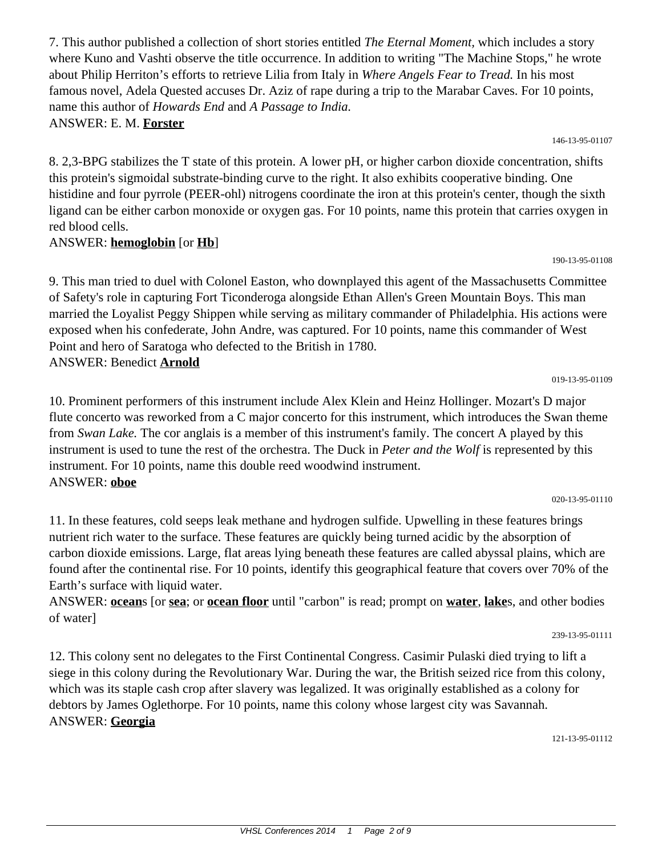7. This author published a collection of short stories entitled *The Eternal Moment,* which includes a story where Kuno and Vashti observe the title occurrence. In addition to writing "The Machine Stops," he wrote about Philip Herriton's efforts to retrieve Lilia from Italy in *Where Angels Fear to Tread.* In his most famous novel, Adela Quested accuses Dr. Aziz of rape during a trip to the Marabar Caves. For 10 points, name this author of *Howards End* and *A Passage to India.* ANSWER: E. M. **Forster**

146-13-95-01107

8. 2,3-BPG stabilizes the T state of this protein. A lower pH, or higher carbon dioxide concentration, shifts this protein's sigmoidal substrate-binding curve to the right. It also exhibits cooperative binding. One histidine and four pyrrole (PEER-ohl) nitrogens coordinate the iron at this protein's center, though the sixth ligand can be either carbon monoxide or oxygen gas. For 10 points, name this protein that carries oxygen in red blood cells.

ANSWER: **hemoglobin** [or **Hb**]

9. This man tried to duel with Colonel Easton, who downplayed this agent of the Massachusetts Committee of Safety's role in capturing Fort Ticonderoga alongside Ethan Allen's Green Mountain Boys. This man married the Loyalist Peggy Shippen while serving as military commander of Philadelphia. His actions were exposed when his confederate, John Andre, was captured. For 10 points, name this commander of West Point and hero of Saratoga who defected to the British in 1780. ANSWER: Benedict **Arnold**

019-13-95-01109

190-13-95-01108

10. Prominent performers of this instrument include Alex Klein and Heinz Hollinger. Mozart's D major flute concerto was reworked from a C major concerto for this instrument, which introduces the Swan theme from *Swan Lake.* The cor anglais is a member of this instrument's family. The concert A played by this instrument is used to tune the rest of the orchestra. The Duck in *Peter and the Wolf* is represented by this instrument. For 10 points, name this double reed woodwind instrument. ANSWER: **oboe**

020-13-95-01110

11. In these features, cold seeps leak methane and hydrogen sulfide. Upwelling in these features brings nutrient rich water to the surface. These features are quickly being turned acidic by the absorption of carbon dioxide emissions. Large, flat areas lying beneath these features are called abyssal plains, which are found after the continental rise. For 10 points, identify this geographical feature that covers over 70% of the Earth's surface with liquid water.

ANSWER: **ocean**s [or **sea**; or **ocean floor** until "carbon" is read; prompt on **water**, **lake**s, and other bodies of water]

239-13-95-01111

12. This colony sent no delegates to the First Continental Congress. Casimir Pulaski died trying to lift a siege in this colony during the Revolutionary War. During the war, the British seized rice from this colony, which was its staple cash crop after slavery was legalized. It was originally established as a colony for debtors by James Oglethorpe. For 10 points, name this colony whose largest city was Savannah. ANSWER: **Georgia**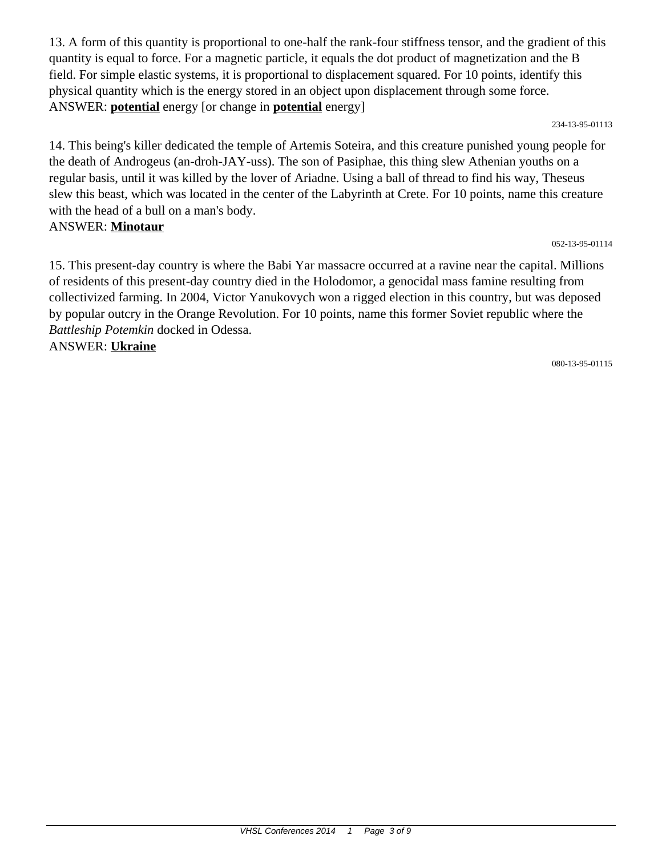13. A form of this quantity is proportional to one-half the rank-four stiffness tensor, and the gradient of this quantity is equal to force. For a magnetic particle, it equals the dot product of magnetization and the B field. For simple elastic systems, it is proportional to displacement squared. For 10 points, identify this physical quantity which is the energy stored in an object upon displacement through some force. ANSWER: **potential** energy [or change in **potential** energy]

234-13-95-01113

14. This being's killer dedicated the temple of Artemis Soteira, and this creature punished young people for the death of Androgeus (an-droh-JAY-uss). The son of Pasiphae, this thing slew Athenian youths on a regular basis, until it was killed by the lover of Ariadne. Using a ball of thread to find his way, Theseus slew this beast, which was located in the center of the Labyrinth at Crete. For 10 points, name this creature with the head of a bull on a man's body. ANSWER: **Minotaur**

### 052-13-95-01114

15. This present-day country is where the Babi Yar massacre occurred at a ravine near the capital. Millions of residents of this present-day country died in the Holodomor, a genocidal mass famine resulting from collectivized farming. In 2004, Victor Yanukovych won a rigged election in this country, but was deposed by popular outcry in the Orange Revolution. For 10 points, name this former Soviet republic where the *Battleship Potemkin* docked in Odessa. ANSWER: **Ukraine**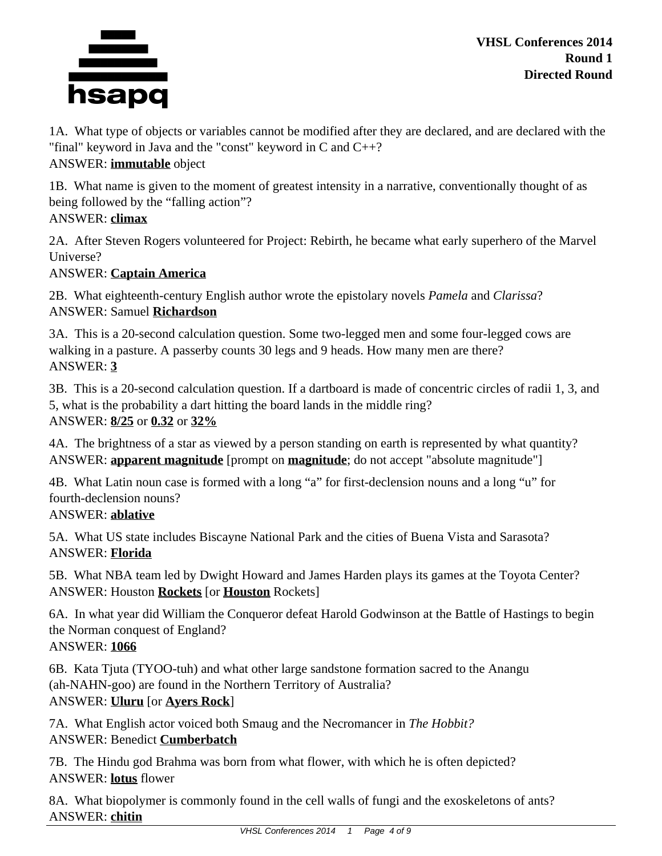

**VHSL Conferences 2014 Round 1 Directed Round**

1A. What type of objects or variables cannot be modified after they are declared, and are declared with the "final" keyword in Java and the "const" keyword in C and C++? ANSWER: **immutable** object

1B. What name is given to the moment of greatest intensity in a narrative, conventionally thought of as being followed by the "falling action"?

## ANSWER: **climax**

2A. After Steven Rogers volunteered for Project: Rebirth, he became what early superhero of the Marvel Universe?

## ANSWER: **Captain America**

2B. What eighteenth-century English author wrote the epistolary novels *Pamela* and *Clarissa*? ANSWER: Samuel **Richardson**

3A. This is a 20-second calculation question. Some two-legged men and some four-legged cows are walking in a pasture. A passerby counts 30 legs and 9 heads. How many men are there? ANSWER: **3**

3B. This is a 20-second calculation question. If a dartboard is made of concentric circles of radii 1, 3, and 5, what is the probability a dart hitting the board lands in the middle ring? ANSWER: **8/25** or **0.32** or **32%**

4A. The brightness of a star as viewed by a person standing on earth is represented by what quantity? ANSWER: **apparent magnitude** [prompt on **magnitude**; do not accept "absolute magnitude"]

4B. What Latin noun case is formed with a long "a" for first-declension nouns and a long "u" for fourth-declension nouns?

# ANSWER: **ablative**

5A. What US state includes Biscayne National Park and the cities of Buena Vista and Sarasota? ANSWER: **Florida**

5B. What NBA team led by Dwight Howard and James Harden plays its games at the Toyota Center? ANSWER: Houston **Rockets** [or **Houston** Rockets]

6A. In what year did William the Conqueror defeat Harold Godwinson at the Battle of Hastings to begin the Norman conquest of England? ANSWER: **1066**

6B. Kata Tjuta (TYOO-tuh) and what other large sandstone formation sacred to the Anangu (ah-NAHN-goo) are found in the Northern Territory of Australia? ANSWER: **Uluru** [or **Ayers Rock**]

7A. What English actor voiced both Smaug and the Necromancer in *The Hobbit?* ANSWER: Benedict **Cumberbatch**

7B. The Hindu god Brahma was born from what flower, with which he is often depicted? ANSWER: **lotus** flower

8A. What biopolymer is commonly found in the cell walls of fungi and the exoskeletons of ants? ANSWER: **chitin**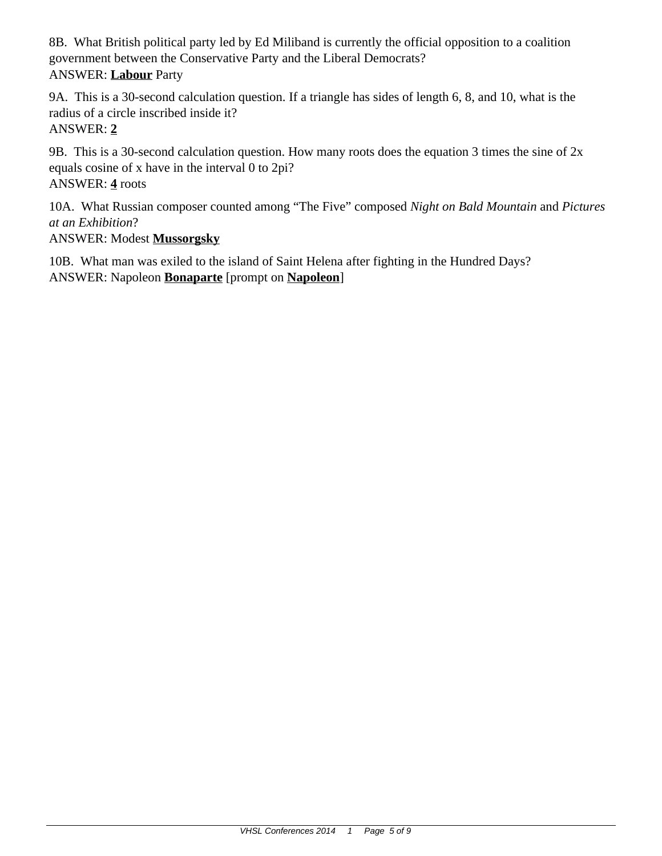8B. What British political party led by Ed Miliband is currently the official opposition to a coalition government between the Conservative Party and the Liberal Democrats? ANSWER: **Labour** Party

9A. This is a 30-second calculation question. If a triangle has sides of length 6, 8, and 10, what is the radius of a circle inscribed inside it? ANSWER: **2**

9B. This is a 30-second calculation question. How many roots does the equation 3 times the sine of 2x equals cosine of x have in the interval 0 to 2pi? ANSWER: **4** roots

10A. What Russian composer counted among "The Five" composed *Night on Bald Mountain* and *Pictures at an Exhibition*?

ANSWER: Modest **Mussorgsky**

10B. What man was exiled to the island of Saint Helena after fighting in the Hundred Days? ANSWER: Napoleon **Bonaparte** [prompt on **Napoleon**]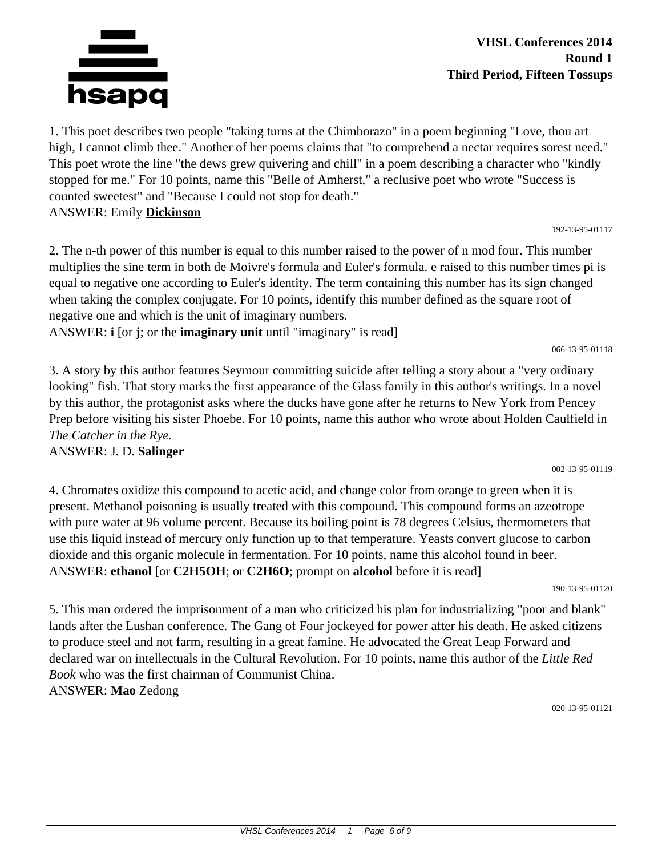

1. This poet describes two people "taking turns at the Chimborazo" in a poem beginning "Love, thou art high, I cannot climb thee." Another of her poems claims that "to comprehend a nectar requires sorest need." This poet wrote the line "the dews grew quivering and chill" in a poem describing a character who "kindly stopped for me." For 10 points, name this "Belle of Amherst," a reclusive poet who wrote "Success is counted sweetest" and "Because I could not stop for death." ANSWER: Emily **Dickinson**

192-13-95-01117

2. The n-th power of this number is equal to this number raised to the power of n mod four. This number multiplies the sine term in both de Moivre's formula and Euler's formula. e raised to this number times pi is equal to negative one according to Euler's identity. The term containing this number has its sign changed when taking the complex conjugate. For 10 points, identify this number defined as the square root of negative one and which is the unit of imaginary numbers.

ANSWER: **i** [or **j**; or the **imaginary unit** until "imaginary" is read]

066-13-95-01118

002-13-95-01119

3. A story by this author features Seymour committing suicide after telling a story about a "very ordinary looking" fish. That story marks the first appearance of the Glass family in this author's writings. In a novel by this author, the protagonist asks where the ducks have gone after he returns to New York from Pencey Prep before visiting his sister Phoebe. For 10 points, name this author who wrote about Holden Caulfield in *The Catcher in the Rye.*

## ANSWER: J. D. **Salinger**

4. Chromates oxidize this compound to acetic acid, and change color from orange to green when it is present. Methanol poisoning is usually treated with this compound. This compound forms an azeotrope with pure water at 96 volume percent. Because its boiling point is 78 degrees Celsius, thermometers that use this liquid instead of mercury only function up to that temperature. Yeasts convert glucose to carbon dioxide and this organic molecule in fermentation. For 10 points, name this alcohol found in beer. ANSWER: **ethanol** [or **C2H5OH**; or **C2H6O**; prompt on **alcohol** before it is read]

190-13-95-01120

5. This man ordered the imprisonment of a man who criticized his plan for industrializing "poor and blank" lands after the Lushan conference. The Gang of Four jockeyed for power after his death. He asked citizens to produce steel and not farm, resulting in a great famine. He advocated the Great Leap Forward and declared war on intellectuals in the Cultural Revolution. For 10 points, name this author of the *Little Red Book* who was the first chairman of Communist China. ANSWER: **Mao** Zedong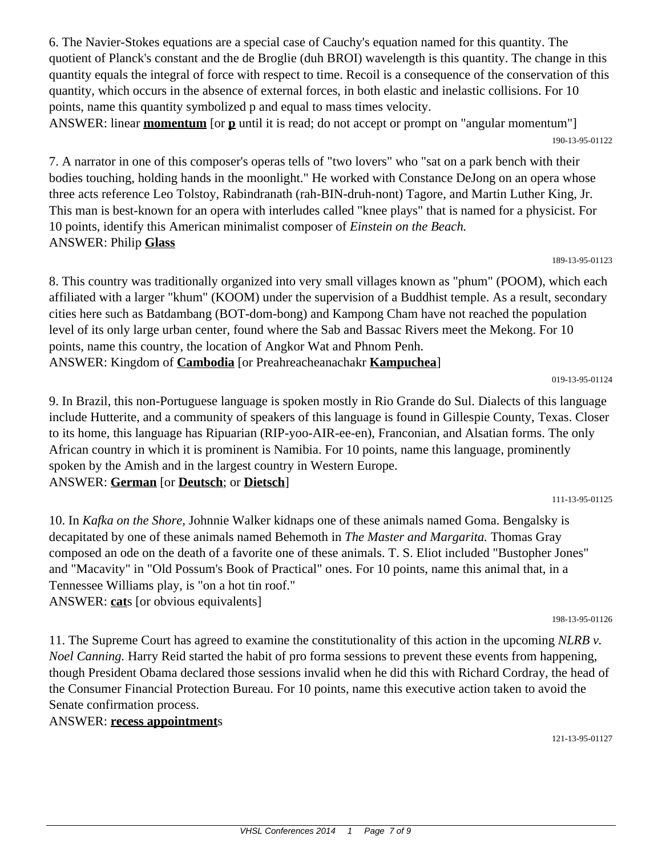6. The Navier-Stokes equations are a special case of Cauchy's equation named for this quantity. The quotient of Planck's constant and the de Broglie (duh BROI) wavelength is this quantity. The change in this quantity equals the integral of force with respect to time. Recoil is a consequence of the conservation of this quantity, which occurs in the absence of external forces, in both elastic and inelastic collisions. For 10 points, name this quantity symbolized p and equal to mass times velocity.

ANSWER: linear **momentum** [or **p** until it is read; do not accept or prompt on "angular momentum"] 190-13-95-01122

7. A narrator in one of this composer's operas tells of "two lovers" who "sat on a park bench with their bodies touching, holding hands in the moonlight." He worked with Constance DeJong on an opera whose three acts reference Leo Tolstoy, Rabindranath (rah-BIN-druh-nont) Tagore, and Martin Luther King, Jr. This man is best-known for an opera with interludes called "knee plays" that is named for a physicist. For 10 points, identify this American minimalist composer of *Einstein on the Beach.* ANSWER: Philip **Glass**

189-13-95-01123

8. This country was traditionally organized into very small villages known as "phum" (POOM), which each affiliated with a larger "khum" (KOOM) under the supervision of a Buddhist temple. As a result, secondary cities here such as Batdambang (BOT-dom-bong) and Kampong Cham have not reached the population level of its only large urban center, found where the Sab and Bassac Rivers meet the Mekong. For 10 points, name this country, the location of Angkor Wat and Phnom Penh. ANSWER: Kingdom of **Cambodia** [or Preahreacheanachakr **Kampuchea**]

019-13-95-01124

9. In Brazil, this non-Portuguese language is spoken mostly in Rio Grande do Sul. Dialects of this language include Hutterite, and a community of speakers of this language is found in Gillespie County, Texas. Closer to its home, this language has Ripuarian (RIP-yoo-AIR-ee-en), Franconian, and Alsatian forms. The only African country in which it is prominent is Namibia. For 10 points, name this language, prominently spoken by the Amish and in the largest country in Western Europe. ANSWER: **German** [or **Deutsch**; or **Dietsch**]

10. In *Kafka on the Shore,* Johnnie Walker kidnaps one of these animals named Goma. Bengalsky is decapitated by one of these animals named Behemoth in *The Master and Margarita.* Thomas Gray composed an ode on the death of a favorite one of these animals. T. S. Eliot included "Bustopher Jones" and "Macavity" in "Old Possum's Book of Practical" ones. For 10 points, name this animal that, in a Tennessee Williams play, is "on a hot tin roof."

ANSWER: **cat**s [or obvious equivalents]

11. The Supreme Court has agreed to examine the constitutionality of this action in the upcoming *NLRB v. Noel Canning.* Harry Reid started the habit of pro forma sessions to prevent these events from happening, though President Obama declared those sessions invalid when he did this with Richard Cordray, the head of the Consumer Financial Protection Bureau. For 10 points, name this executive action taken to avoid the Senate confirmation process.

ANSWER: **recess appointment**s

121-13-95-01127

198-13-95-01126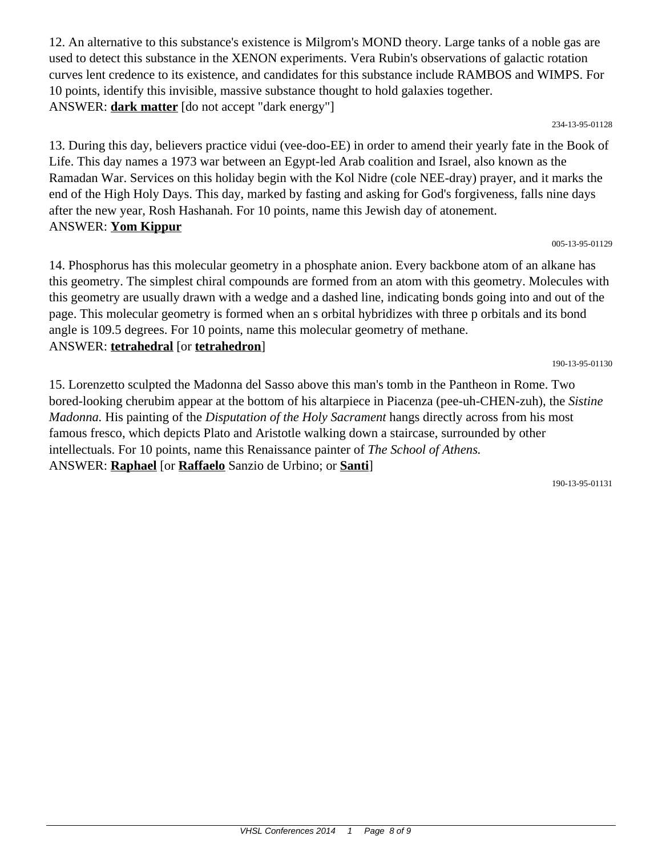12. An alternative to this substance's existence is Milgrom's MOND theory. Large tanks of a noble gas are used to detect this substance in the XENON experiments. Vera Rubin's observations of galactic rotation curves lent credence to its existence, and candidates for this substance include RAMBOS and WIMPS. For 10 points, identify this invisible, massive substance thought to hold galaxies together. ANSWER: **dark matter** [do not accept "dark energy"]

#### 234-13-95-01128

13. During this day, believers practice vidui (vee-doo-EE) in order to amend their yearly fate in the Book of Life. This day names a 1973 war between an Egypt-led Arab coalition and Israel, also known as the Ramadan War. Services on this holiday begin with the Kol Nidre (cole NEE-dray) prayer, and it marks the end of the High Holy Days. This day, marked by fasting and asking for God's forgiveness, falls nine days after the new year, Rosh Hashanah. For 10 points, name this Jewish day of atonement. ANSWER: **Yom Kippur**

### 005-13-95-01129

14. Phosphorus has this molecular geometry in a phosphate anion. Every backbone atom of an alkane has this geometry. The simplest chiral compounds are formed from an atom with this geometry. Molecules with this geometry are usually drawn with a wedge and a dashed line, indicating bonds going into and out of the page. This molecular geometry is formed when an s orbital hybridizes with three p orbitals and its bond angle is 109.5 degrees. For 10 points, name this molecular geometry of methane. ANSWER: **tetrahedral** [or **tetrahedron**]

190-13-95-01130

15. Lorenzetto sculpted the Madonna del Sasso above this man's tomb in the Pantheon in Rome. Two bored-looking cherubim appear at the bottom of his altarpiece in Piacenza (pee-uh-CHEN-zuh), the *Sistine Madonna.* His painting of the *Disputation of the Holy Sacrament* hangs directly across from his most famous fresco, which depicts Plato and Aristotle walking down a staircase, surrounded by other intellectuals. For 10 points, name this Renaissance painter of *The School of Athens.* ANSWER: **Raphael** [or **Raffaelo** Sanzio de Urbino; or **Santi**]